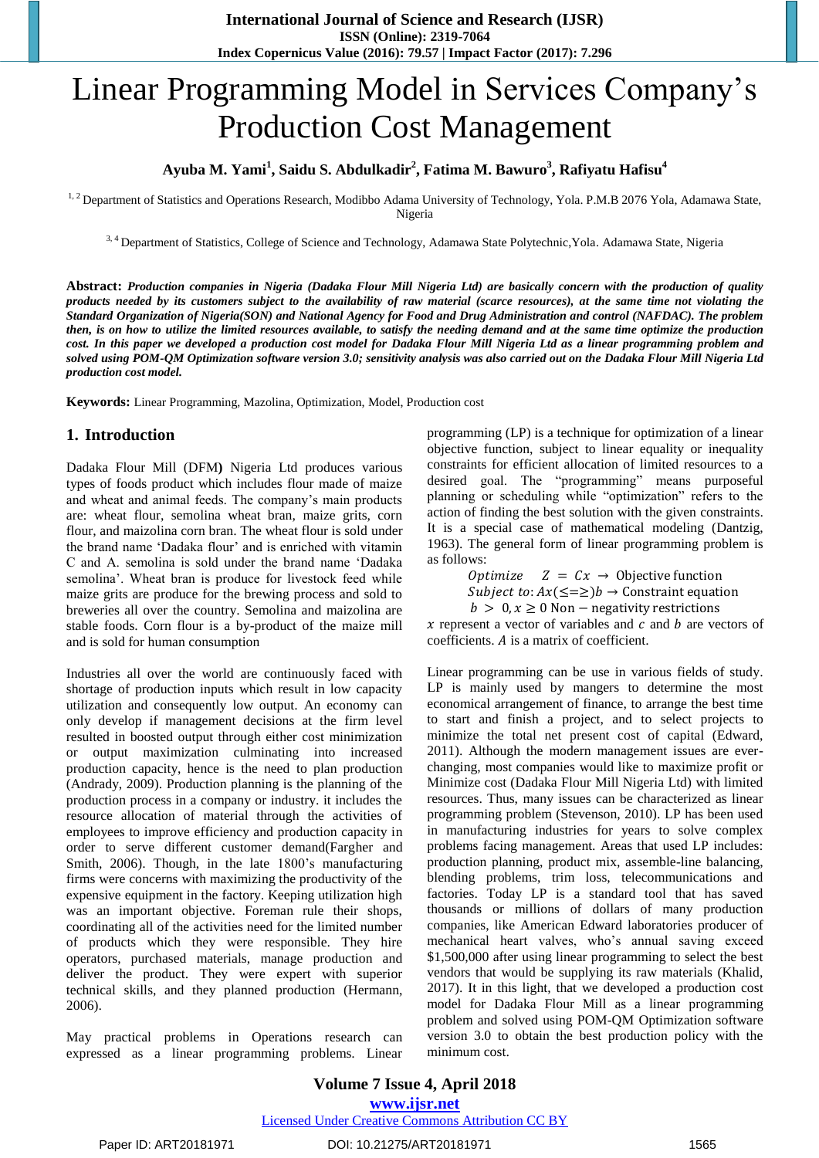# Linear Programming Model in Services Company"s Production Cost Management

## **Ayuba M. Yami<sup>1</sup> , Saidu S. Abdulkadir<sup>2</sup> , Fatima M. Bawuro<sup>3</sup> , Rafiyatu Hafisu<sup>4</sup>**

<sup>1, 2</sup> Department of Statistics and Operations Research, Modibbo Adama University of Technology, Yola. P.M.B 2076 Yola, Adamawa State, Nigeria

3, 4 Department of Statistics, College of Science and Technology, Adamawa State Polytechnic,Yola. Adamawa State, Nigeria

**Abstract:** *Production companies in Nigeria (Dadaka Flour Mill Nigeria Ltd) are basically concern with the production of quality products needed by its customers subject to the availability of raw material (scarce resources), at the same time not violating the Standard Organization of Nigeria(SON) and National Agency for Food and Drug Administration and control (NAFDAC). The problem then, is on how to utilize the limited resources available, to satisfy the needing demand and at the same time optimize the production cost. In this paper we developed a production cost model for Dadaka Flour Mill Nigeria Ltd as a linear programming problem and solved using POM-QM Optimization software version 3.0; sensitivity analysis was also carried out on the Dadaka Flour Mill Nigeria Ltd production cost model.*

**Keywords:** Linear Programming, Mazolina, Optimization, Model, Production cost

## **1. Introduction**

Dadaka Flour Mill (DFM**)** Nigeria Ltd produces various types of foods product which includes flour made of maize and wheat and animal feeds. The company"s main products are: wheat flour, semolina wheat bran, maize grits, corn flour, and maizolina corn bran. The wheat flour is sold under the brand name "Dadaka flour" and is enriched with vitamin C and A. semolina is sold under the brand name "Dadaka semolina'. Wheat bran is produce for livestock feed while maize grits are produce for the brewing process and sold to breweries all over the country. Semolina and maizolina are stable foods. Corn flour is a by-product of the maize mill and is sold for human consumption

Industries all over the world are continuously faced with shortage of production inputs which result in low capacity utilization and consequently low output. An economy can only develop if management decisions at the firm level resulted in boosted output through either cost minimization or output maximization culminating into increased production capacity, hence is the need to plan production (Andrady, 2009). Production planning is the planning of the production process in a company or industry. it includes the resource allocation of material through the activities of employees to improve efficiency and production capacity in order to serve different customer demand(Fargher and Smith, 2006). Though, in the late 1800"s manufacturing firms were concerns with maximizing the productivity of the expensive equipment in the factory. Keeping utilization high was an important objective. Foreman rule their shops, coordinating all of the activities need for the limited number of products which they were responsible. They hire operators, purchased materials, manage production and deliver the product. They were expert with superior technical skills, and they planned production (Hermann, 2006).

May practical problems in Operations research can expressed as a linear programming problems. Linear

programming (LP) is a technique for optimization of a linear objective function, subject to linear equality or inequality constraints for efficient allocation of limited resources to a desired goal. The "programming" means purposeful planning or scheduling while "optimization" refers to the action of finding the best solution with the given constraints. It is a special case of mathematical modeling (Dantzig, 1963). The general form of linear programming problem is as follows:

> Optimize  $Z = Cx \rightarrow$  Objective function *Subject to:*  $Ax(\leq=\geq)$ *b*  $\rightarrow$  Constraint equation  $b > 0, x \ge 0$  Non – negativity restrictions

 $x$  represent a vector of variables and  $c$  and  $b$  are vectors of  $coefficients. A is a matrix of coefficient.$ 

Linear programming can be use in various fields of study. LP is mainly used by mangers to determine the most economical arrangement of finance, to arrange the best time to start and finish a project, and to select projects to minimize the total net present cost of capital (Edward, 2011). Although the modern management issues are everchanging, most companies would like to maximize profit or Minimize cost (Dadaka Flour Mill Nigeria Ltd) with limited resources. Thus, many issues can be characterized as linear programming problem (Stevenson, 2010). LP has been used in manufacturing industries for years to solve complex problems facing management. Areas that used LP includes: production planning, product mix, assemble-line balancing, blending problems, trim loss, telecommunications and factories. Today LP is a standard tool that has saved thousands or millions of dollars of many production companies, like American Edward laboratories producer of mechanical heart valves, who"s annual saving exceed \$1,500,000 after using linear programming to select the best vendors that would be supplying its raw materials (Khalid, 2017). It in this light, that we developed a production cost model for Dadaka Flour Mill as a linear programming problem and solved using POM-QM Optimization software version 3.0 to obtain the best production policy with the minimum cost.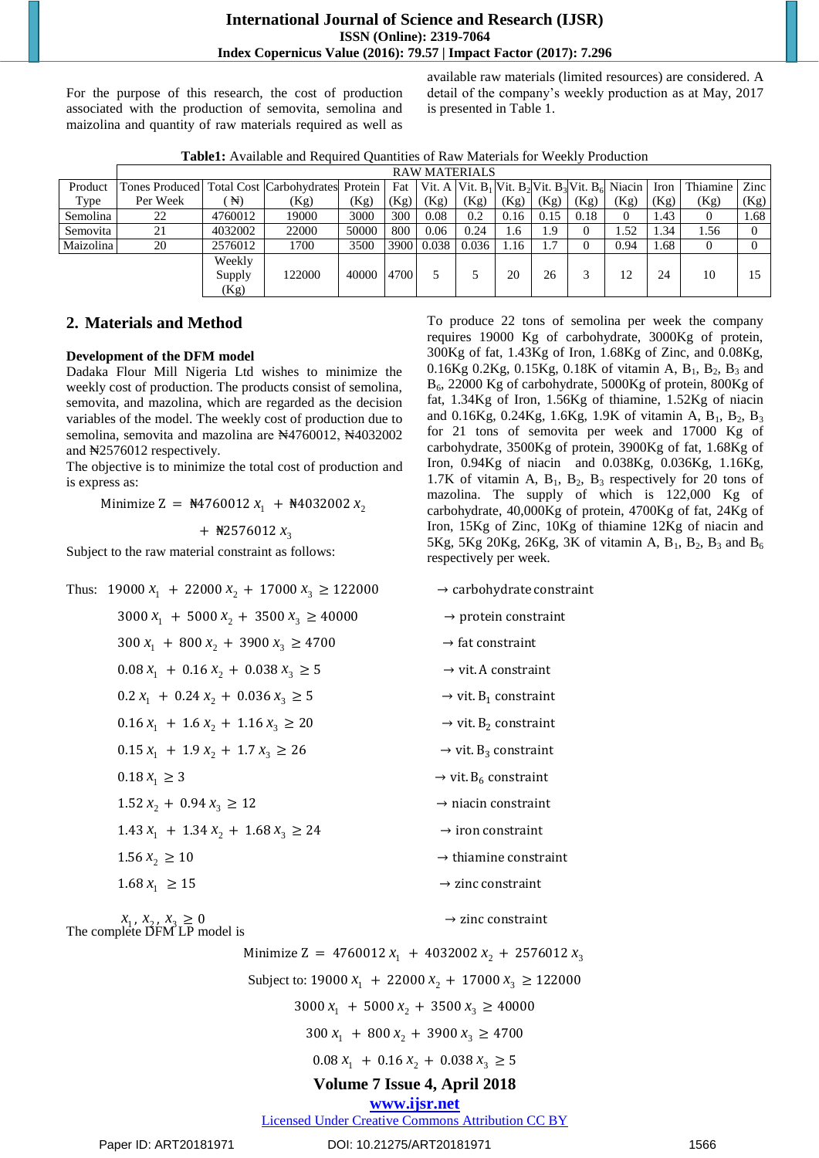For the purpose of this research, the cost of production associated with the production of semovita, semolina and maizolina and quantity of raw materials required as well as

available raw materials (limited resources) are considered. A detail of the company"s weekly production as at May, 2017 is presented in Table 1.

|  | <b>Table1:</b> Available and Required Quantities of Raw Materials for Weekly Production |
|--|-----------------------------------------------------------------------------------------|
|  |                                                                                         |

|           | <b>RAW MATERIALS</b>                                  |         |        |       |      |            |       |      |      |      |                                                                                                               |      |          |      |
|-----------|-------------------------------------------------------|---------|--------|-------|------|------------|-------|------|------|------|---------------------------------------------------------------------------------------------------------------|------|----------|------|
| Product   | Tones Produced   Total Cost   Carbohydrates   Protein |         |        |       |      |            |       |      |      |      | Fat   Vit. A   Vit. B <sub>1</sub>   Vit. B <sub>2</sub>   Vit. B <sub>3</sub>   Vit. B <sub>6</sub>   Niacin | Iron | Thiamine | Zinc |
| Type      | Per Week                                              | H)      | (Kg)   | (Kg)  | (Kg) | (Kg)       | (Kg)  | (Kg) | (Kg) | (Kg) | (Kg)                                                                                                          | (Kg) | (Kg)     | (Kg) |
| Semolina  | 22                                                    | 4760012 | 19000  | 3000  | 300  | 0.08       | 0.2   | 0.16 | 0.15 | 0.18 |                                                                                                               | . 43 | $\Omega$ | 1.68 |
| Semovita  | 21                                                    | 4032002 | 22000  | 50000 | 800  | 0.06       | 0.24  | 1.6  | 1.9  |      | . . 52                                                                                                        | 1.34 | 1.56     |      |
| Maizolina | 20                                                    | 2576012 | 1700   | 3500  |      | 3900 0.038 | 0.036 | 1.16 | 1.7  |      | 0.94                                                                                                          | 1.68 | $\theta$ |      |
|           |                                                       | Weekly  |        |       |      |            |       |      |      |      |                                                                                                               |      |          |      |
|           |                                                       | Supply  | 122000 | 40000 | 4700 |            |       | 20   | 26   |      | 12                                                                                                            | 24   | 10       |      |
|           |                                                       | (Kg)    |        |       |      |            |       |      |      |      |                                                                                                               |      |          |      |

#### **2. Materials and Method**

#### **Development of the DFM model**

Dadaka Flour Mill Nigeria Ltd wishes to minimize the weekly cost of production. The products consist of semolina, semovita, and mazolina, which are regarded as the decision variables of the model. The weekly cost of production due to semolina, semovita and mazolina are N4760012, N4032002 and ₦2576012 respectively.

The objective is to minimize the total cost of production and is express as:

Minimize Z =  $\frac{14760012 x_1 + 14032002 x_2}{x_2 + 14032002 x_2}$ 

 $+$   $\frac{12576012 x_3}{ }$ 

Subject to the raw material constraint as follows:

| Thus: 19000 $x_1$ + 22000 $x_2$ + 17000 $x_3 \ge 122000$ | $\rightarrow$ carbohydrate constraint        |
|----------------------------------------------------------|----------------------------------------------|
| $3000 x_1 + 5000 x_2 + 3500 x_3 \ge 40000$               | $\rightarrow$ protein constraint             |
| $300 x_1 + 800 x_2 + 3900 x_3 \ge 4700$                  | $\rightarrow$ fat constraint                 |
| $0.08 x_1 + 0.16 x_2 + 0.038 x_3 \ge 5$                  | $\rightarrow$ vit. A constraint              |
| $0.2 x_1 + 0.24 x_2 + 0.036 x_3 \ge 5$                   | $\rightarrow$ vit. B <sub>1</sub> constraint |
| $0.16 x_1 + 1.6 x_2 + 1.16 x_3 \ge 20$                   | $\rightarrow$ vit. B <sub>2</sub> constraint |
| $0.15 x_1 + 1.9 x_2 + 1.7 x_3 \ge 26$                    | $\rightarrow$ vit. B <sub>3</sub> constraint |
| $0.18 x_1 \geq 3$                                        | $\rightarrow$ vit. B <sub>6</sub> constraint |
| $1.52 x_2 + 0.94 x_3 \ge 12$                             | $\rightarrow$ niacin constraint              |
| $1.43 x_1 + 1.34 x_2 + 1.68 x_3 \ge 24$                  | $\rightarrow$ iron constraint                |
| $1.56 x_2 \ge 10$                                        | $\rightarrow$ thiamine constraint            |
| $1.68 x_1 \ge 15$                                        | $\rightarrow$ zinc constraint                |
|                                                          |                                              |

 $x_1, x_2, x_3$ The complete DFM LP model is

Minimize Z =  $4760012 x_1 + 4032002 x_2 + 2576012 x_3$ 

Subject to: 19000  $x_1$  + 22000  $x_2$  + 17000  $x_3 \ge 122000$ 

 $3000 x_1 + 5000 x_2 + 3500 x_3 \ge 40000$ 

 $300 x_1 + 800 x_2 + 3900 x_3 \ge 4700$ 

 $0.08 x_1 + 0.16 x_2 + 0.038 x_3 \ge 5$ 

## **Volume 7 Issue 4, April 2018**

## **<www.ijsr.net>**

[Licensed Under Creative Commons Attribution CC BY](http://creativecommons.org/licenses/by/4.0/)

To produce 22 tons of semolina per week the company requires 19000 Kg of carbohydrate, 3000Kg of protein, 300Kg of fat, 1.43Kg of Iron, 1.68Kg of Zinc, and 0.08Kg, 0.16Kg 0.2Kg, 0.15Kg, 0.18K of vitamin A,  $B_1$ ,  $B_2$ ,  $B_3$  and B6, 22000 Kg of carbohydrate, 5000Kg of protein, 800Kg of fat, 1.34Kg of Iron, 1.56Kg of thiamine, 1.52Kg of niacin and  $0.16$ Kg,  $0.24$ Kg,  $1.6$ Kg,  $1.9$ K of vitamin A, B<sub>1</sub>, B<sub>2</sub>, B<sub>3</sub> for 21 tons of semovita per week and 17000 Kg of carbohydrate, 3500Kg of protein, 3900Kg of fat, 1.68Kg of Iron, 0.94Kg of niacin and 0.038Kg, 0.036Kg, 1.16Kg, 1.7K of vitamin A,  $B_1$ ,  $B_2$ ,  $B_3$  respectively for 20 tons of mazolina. The supply of which is 122,000 Kg of carbohydrate, 40,000Kg of protein, 4700Kg of fat, 24Kg of Iron, 15Kg of Zinc, 10Kg of thiamine 12Kg of niacin and 5Kg, 5Kg 20Kg, 26Kg, 3K of vitamin A,  $B_1$ ,  $B_2$ ,  $B_3$  and  $B_6$ respectively per week.

|  |  |  | $\rightarrow$ carbohydrate constraint |
|--|--|--|---------------------------------------|
|--|--|--|---------------------------------------|

- $straint$
- 
- 

$$
\rightarrow
$$
 vit. B<sub>1</sub> constraint

$$
\rightarrow
$$
 vit. B<sub>3</sub> constraint

- 
- 
- 
- 
- 

 $\rightarrow$  zinc constraint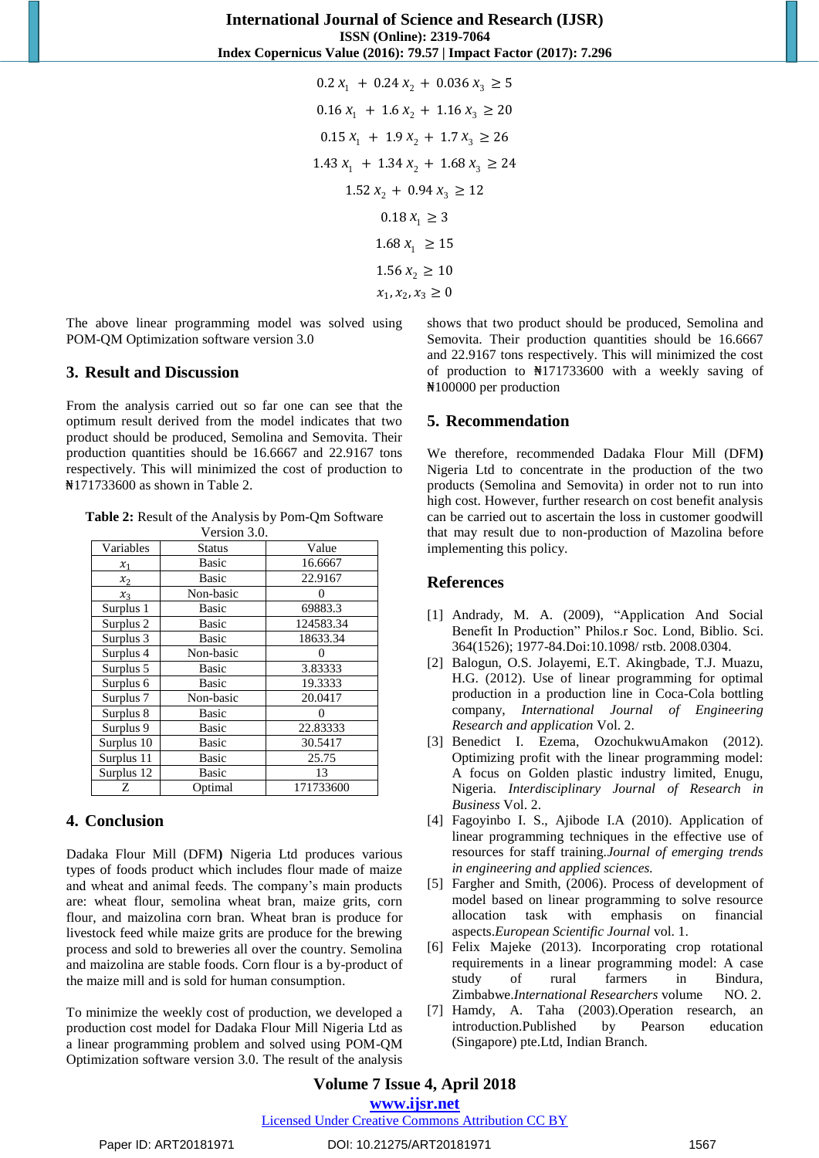$0.2 x_1 + 0.24 x_2 + 0.036 x_3 \ge 5$  $0.16 x_1 + 1.6 x_2 + 1.16 x_3 \ge 20$  $0.15 x_1 + 1.9 x_2 + 1.7 x_3 \ge 26$  $1.43 x_1 + 1.34 x_2 + 1.68 x_3 \ge 24$  $1.52 x_2 + 0.94 x_3 \ge 12$  $0.18 x_1 \ge 3$ 1.68  $x_1 \ge 15$  $1.56 x_2 \ge 10$  $x_1, x_2, x_3 \ge 0$ 

The above linear programming model was solved using POM-QM Optimization software version 3.0

#### **3. Result and Discussion**

From the analysis carried out so far one can see that the optimum result derived from the model indicates that two product should be produced, Semolina and Semovita. Their production quantities should be 16.6667 and 22.9167 tons respectively. This will minimized the cost of production to ₦171733600 as shown in Table 2.

**Table 2:** Result of the Analysis by Pom-Qm Software  $V_{\text{unifom}}$  2.0.

|                      | V ELSIOIL J.V. |           |  |  |
|----------------------|----------------|-----------|--|--|
| Variables            | Status         | Value     |  |  |
| $x_1$                | <b>Basic</b>   | 16.6667   |  |  |
| $x_2$                | <b>Basic</b>   | 22.9167   |  |  |
| $x_3$                | Non-basic      |           |  |  |
| Surplus 1            | Basic          | 69883.3   |  |  |
| Surplus <sub>2</sub> | <b>Basic</b>   | 124583.34 |  |  |
| Surplus 3            | <b>Basic</b>   | 18633.34  |  |  |
| Surplus 4            | Non-basic      |           |  |  |
| Surplus 5            | <b>Basic</b>   | 3.83333   |  |  |
| Surplus 6            | Basic          | 19.3333   |  |  |
| Surplus 7            | Non-basic      | 20.0417   |  |  |
| Surplus 8            | <b>Basic</b>   |           |  |  |
| Surplus 9            | <b>Basic</b>   | 22.83333  |  |  |
| Surplus 10           | <b>Basic</b>   | 30.5417   |  |  |
| Surplus 11           | <b>Basic</b>   | 25.75     |  |  |
| Surplus 12           | <b>Basic</b>   | 13        |  |  |
| Z                    | Optimal        | 171733600 |  |  |

## **4. Conclusion**

Dadaka Flour Mill (DFM**)** Nigeria Ltd produces various types of foods product which includes flour made of maize and wheat and animal feeds. The company"s main products are: wheat flour, semolina wheat bran, maize grits, corn flour, and maizolina corn bran. Wheat bran is produce for livestock feed while maize grits are produce for the brewing process and sold to breweries all over the country. Semolina and maizolina are stable foods. Corn flour is a by-product of the maize mill and is sold for human consumption.

To minimize the weekly cost of production, we developed a production cost model for Dadaka Flour Mill Nigeria Ltd as a linear programming problem and solved using POM-QM Optimization software version 3.0. The result of the analysis shows that two product should be produced, Semolina and Semovita. Their production quantities should be 16.6667 and 22.9167 tons respectively. This will minimized the cost of production to ₦171733600 with a weekly saving of ₦100000 per production

## **5. Recommendation**

We therefore, recommended Dadaka Flour Mill (DFM**)** Nigeria Ltd to concentrate in the production of the two products (Semolina and Semovita) in order not to run into high cost. However, further research on cost benefit analysis can be carried out to ascertain the loss in customer goodwill that may result due to non-production of Mazolina before implementing this policy.

## **References**

- [1] Andrady, M. A. (2009), "Application And Social Benefit In Production" Philos.r Soc. Lond, Biblio. Sci. 364(1526); 1977-84.Doi:10.1098/ rstb. 2008.0304.
- [2] Balogun, O.S. Jolayemi, E.T. Akingbade, T.J. Muazu, H.G. (2012). Use of linear programming for optimal production in a production line in Coca-Cola bottling company, *International Journal of Engineering Research and application* Vol. 2.
- [3] Benedict I. Ezema, OzochukwuAmakon (2012). Optimizing profit with the linear programming model: A focus on Golden plastic industry limited, Enugu, Nigeria. *Interdisciplinary Journal of Research in Business* Vol. 2.
- [4] Fagoyinbo I. S., Ajibode I.A (2010). Application of linear programming techniques in the effective use of resources for staff training.*Journal of emerging trends in engineering and applied sciences.*
- [5] Fargher and Smith, (2006). Process of development of model based on linear programming to solve resource allocation task with emphasis on financial aspects.*European Scientific Journal* vol. 1.
- [6] Felix Majeke (2013). Incorporating crop rotational requirements in a linear programming model: A case study of rural farmers in Bindura, Zimbabwe.*International Researchers* volume NO. 2.
- [7] Hamdy, A. Taha (2003).Operation research, an introduction.Published by Pearson education (Singapore) pte.Ltd, Indian Branch.

## [Licensed Under Creative Commons Attribution CC BY](http://creativecommons.org/licenses/by/4.0/)